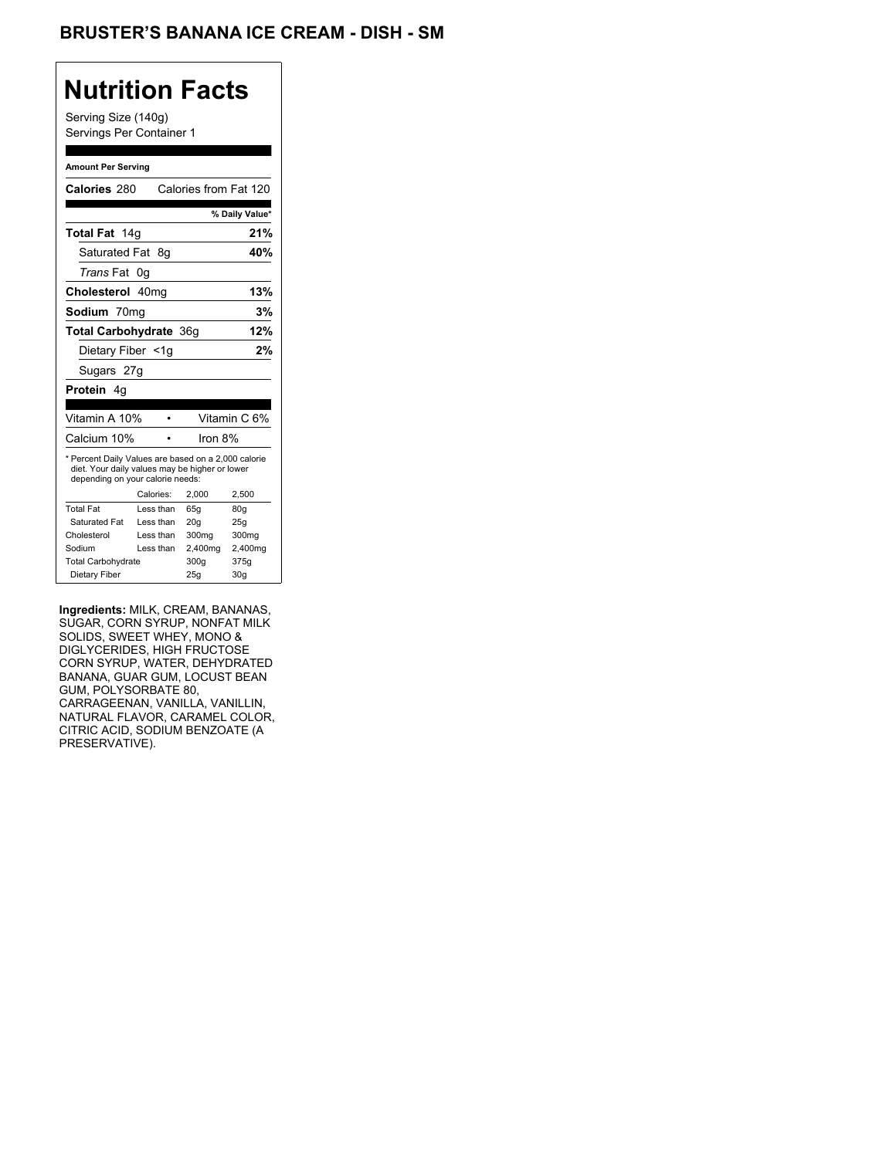### **Nutrition Facts**

Serving Size (140g) Servings Per Container 1

#### **Amount Per Serving**

| Calories 280                                                                                                                              |            | Calories from Fat 120 |                |
|-------------------------------------------------------------------------------------------------------------------------------------------|------------|-----------------------|----------------|
|                                                                                                                                           |            |                       | % Daily Value* |
| Total Fat 14g                                                                                                                             |            |                       | 21%            |
| Saturated Fat                                                                                                                             | -8g        |                       | 40%            |
| <i>Trans</i> Fat                                                                                                                          | 0g         |                       |                |
| Cholesterol 40mg                                                                                                                          |            |                       | 13%            |
| Sodium 70mg                                                                                                                               |            |                       | 3%             |
| <b>Total Carbohydrate 36g</b>                                                                                                             |            |                       | 12%            |
| Dietary Fiber <1q                                                                                                                         |            |                       | 2%             |
|                                                                                                                                           | Sugars 27g |                       |                |
| <b>Protein</b> 4q                                                                                                                         |            |                       |                |
|                                                                                                                                           |            |                       |                |
| Vitamin A 10%                                                                                                                             |            |                       | Vitamin C 6%   |
| Calcium 10%                                                                                                                               |            | Iron 8%               |                |
| * Percent Daily Values are based on a 2,000 calorie<br>diet. Your daily values may be higher or lower<br>depending on your calorie needs: |            |                       |                |
|                                                                                                                                           | Calories:  | 2.000                 | 2,500          |
| <b>Total Fat</b>                                                                                                                          | Less than  | 65q                   | 80q            |
| Saturated Fat                                                                                                                             | Less than  | 20q                   | 25q            |
| Cholesterol                                                                                                                               | Less than  | 300mg                 | 300mg          |
| Sodium                                                                                                                                    | Less than  | 2,400mg               | 2,400mg        |
| <b>Total Carbohydrate</b>                                                                                                                 |            | 300g                  | 375g           |
| Dietary Fiber                                                                                                                             |            | 25q                   | 30q            |

**Ingredients:** MILK, CREAM, BANANAS, SUGAR, CORN SYRUP, NONFAT MILK SOLIDS, SWEET WHEY, MONO & DIGLYCERIDES, HIGH FRUCTOSE CORN SYRUP, WATER, DEHYDRATED BANANA, GUAR GUM, LOCUST BEAN GUM, POLYSORBATE 80, CARRAGEENAN, VANILLA, VANILLIN, NATURAL FLAVOR, CARAMEL COLOR, CITRIC ACID, SODIUM BENZOATE (A PRESERVATIVE).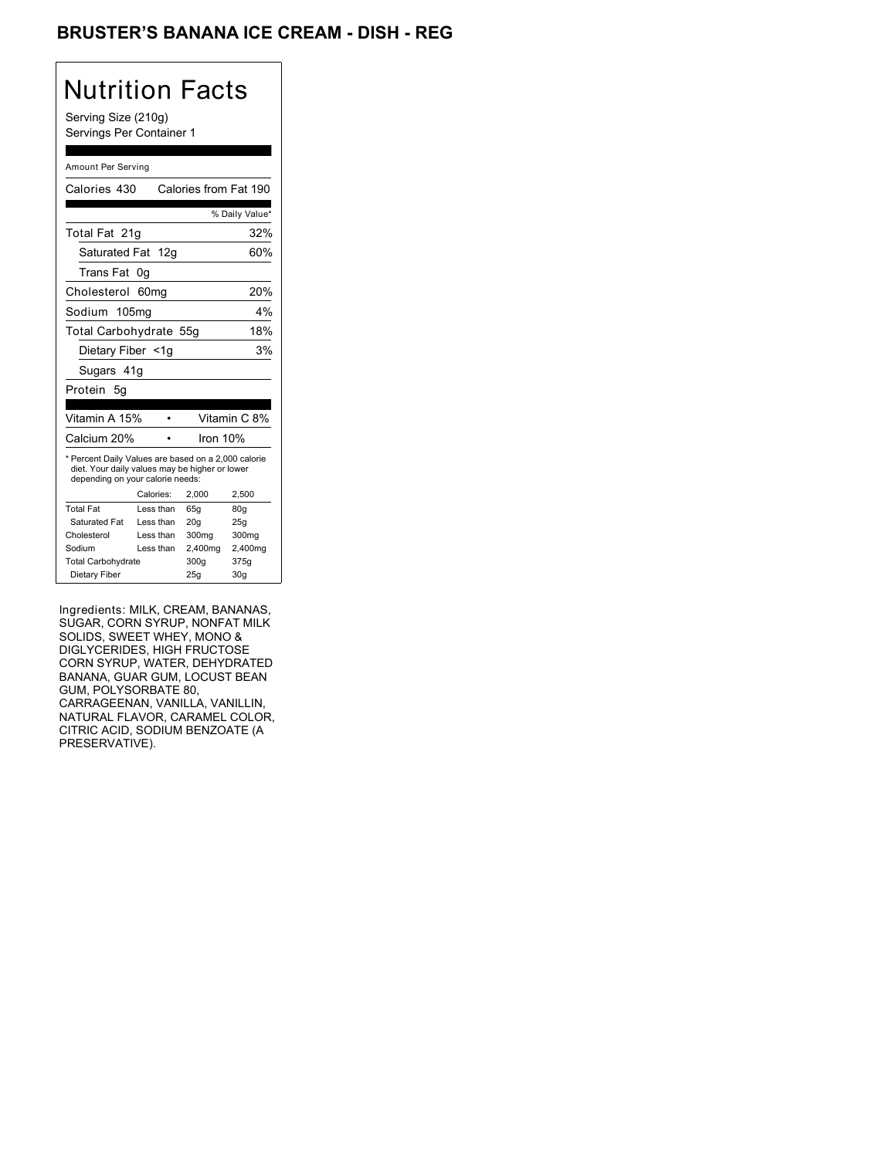### BRUSTER'S BANANA ICE CREAM - DISH - REG

# Nutrition Facts

Serving Size (210g) Servings Per Container 1

#### Amount Per Serving

| Calories 430                                                                                                                              |                  | Calories from Fat 190 |                |
|-------------------------------------------------------------------------------------------------------------------------------------------|------------------|-----------------------|----------------|
|                                                                                                                                           |                  |                       | % Daily Value* |
| Total Fat 21q                                                                                                                             |                  |                       | 32%            |
| Saturated Fat 12g                                                                                                                         |                  |                       | 60%            |
| Trans Fat                                                                                                                                 | 0g               |                       |                |
| Cholesterol                                                                                                                               | 60 <sub>mq</sub> |                       | 20%            |
| Sodium 105mg                                                                                                                              |                  |                       | 4%             |
| Total Carbohydrate 55g                                                                                                                    |                  |                       | 18%            |
| Dietary Fiber <1g                                                                                                                         |                  |                       | 3%             |
| Sugars 41g                                                                                                                                |                  |                       |                |
|                                                                                                                                           |                  |                       |                |
| Protein 5a                                                                                                                                |                  |                       |                |
|                                                                                                                                           |                  |                       |                |
| Vitamin A 15%                                                                                                                             |                  |                       | Vitamin C 8%   |
| Calcium 20%                                                                                                                               |                  | Iron 10%              |                |
| * Percent Daily Values are based on a 2,000 calorie<br>diet. Your daily values may be higher or lower<br>depending on your calorie needs: |                  |                       |                |
|                                                                                                                                           | Calories:        | 2.000                 | 2,500          |
| <b>Total Fat</b>                                                                                                                          | Less than        | 65q                   | 80q            |
| Saturated Fat                                                                                                                             | Less than        | 20q                   | 25q            |
| Cholesterol                                                                                                                               | Less than        | 300mg                 | 300mg          |
| Sodium                                                                                                                                    | Less than        | 2,400mg               | 2,400mg        |
| <b>Total Carbohydrate</b>                                                                                                                 |                  | 300g                  | 375g           |

Ingredients: MILK, CREAM, BANANAS, SUGAR, CORN SYRUP, NONFAT MILK SOLIDS, SWEET WHEY, MONO & DIGLYCERIDES, HIGH FRUCTOSE CORN SYRUP, WATER, DEHYDRATED BANANA, GUAR GUM, LOCUST BEAN GUM, POLYSORBATE 80, CARRAGEENAN, VANILLA, VANILLIN, NATURAL FLAVOR, CARAMEL COLOR, CITRIC ACID, SODIUM BENZOATE (A PRESERVATIVE).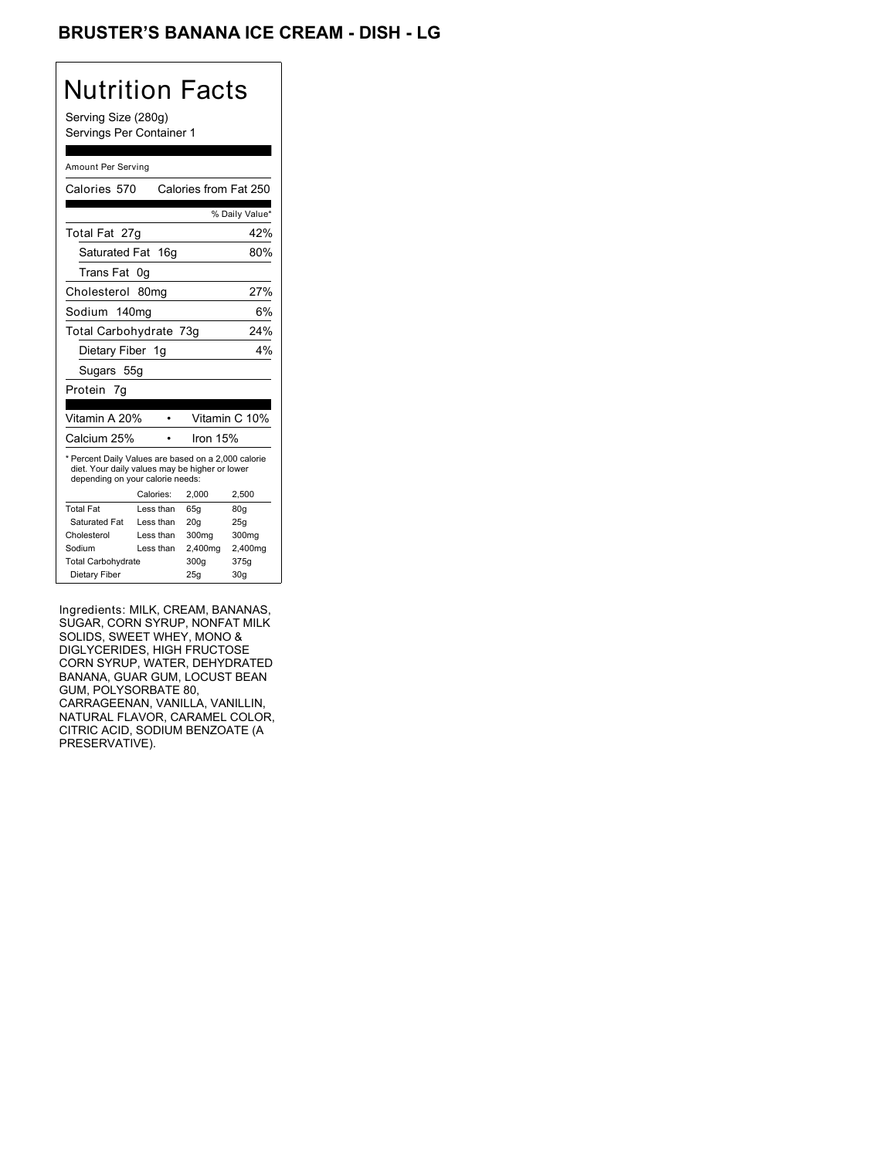### BRUSTER'S BANANA ICE CREAM - DISH - LG

## Nutrition Facts

Serving Size (280g) Servings Per Container 1

#### Amount Per Serving

| Calories 570                                                                                                                              |                  | Calories from Fat 250 |                |
|-------------------------------------------------------------------------------------------------------------------------------------------|------------------|-----------------------|----------------|
|                                                                                                                                           |                  |                       | % Daily Value* |
| Total Fat 27g                                                                                                                             |                  |                       | 42%            |
| Saturated Fat 16g                                                                                                                         |                  |                       | 80%            |
| Trans Fat                                                                                                                                 | 0g               |                       |                |
| Cholesterol                                                                                                                               | 80 <sub>mq</sub> |                       | 27%            |
| Sodium 140mg                                                                                                                              |                  |                       | 6%             |
| Total Carbohydrate 73g                                                                                                                    |                  |                       | 24%            |
| Dietary Fiber 1g                                                                                                                          |                  |                       | 4%             |
| Sugars 55g                                                                                                                                |                  |                       |                |
| Protein 7g                                                                                                                                |                  |                       |                |
|                                                                                                                                           |                  |                       |                |
| Vitamin A 20%                                                                                                                             |                  |                       | Vitamin C 10%  |
| Calcium 25%                                                                                                                               |                  | Iron $15%$            |                |
| * Percent Daily Values are based on a 2,000 calorie<br>diet. Your daily values may be higher or lower<br>depending on your calorie needs: |                  |                       |                |
|                                                                                                                                           |                  |                       |                |
|                                                                                                                                           | Calories:        | 2.000                 | 2,500          |
| <b>Total Fat</b>                                                                                                                          | Less than        | 65q                   | 80q            |
| Saturated Fat                                                                                                                             | Less than        | 20q                   | 25q            |
| Cholesterol                                                                                                                               | Less than        | 300mg                 | 300mg          |
| Sodium                                                                                                                                    | Less than        | 2,400mg               | 2,400mg        |
| <b>Total Carbohydrate</b>                                                                                                                 |                  | 300g                  | 375g           |

Ingredients: MILK, CREAM, BANANAS, SUGAR, CORN SYRUP, NONFAT MILK SOLIDS, SWEET WHEY, MONO & DIGLYCERIDES, HIGH FRUCTOSE CORN SYRUP, WATER, DEHYDRATED BANANA, GUAR GUM, LOCUST BEAN GUM, POLYSORBATE 80, CARRAGEENAN, VANILLA, VANILLIN, NATURAL FLAVOR, CARAMEL COLOR, CITRIC ACID, SODIUM BENZOATE (A PRESERVATIVE).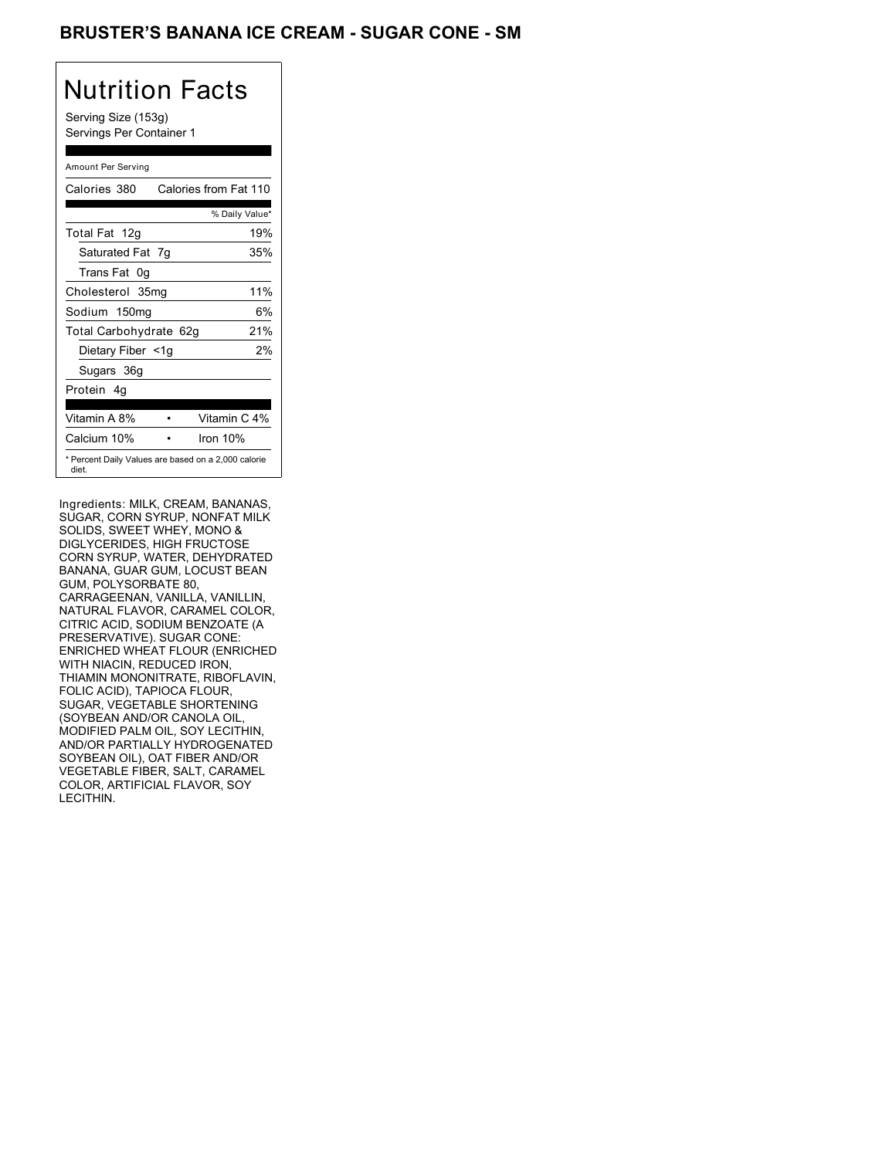### BRUSTER'S BANANA ICE CREAM - SUGAR CONE - SM

# Nutrition Facts

Serving Size (153g) Servings Per Container 1

#### Amount Per Serving

| Calories 380           | Calories from Fat 110                               |
|------------------------|-----------------------------------------------------|
|                        | % Daily Value*                                      |
| Total Fat 12g          | 19%                                                 |
| Saturated Fat 7g       | 35%                                                 |
| Trans Fat 0q           |                                                     |
| Cholesterol 35mg       | 11%                                                 |
| Sodium 150mg           | 6%                                                  |
| Total Carbohydrate 62g | 21%                                                 |
| Dietary Fiber <1g      | 2%                                                  |
| Sugars 36g             |                                                     |
| Protein 4q             |                                                     |
|                        |                                                     |
| Vitamin A 8%           | Vitamin C 4%                                        |
| Calcium 10%            | Iron 10%                                            |
| diet.                  | * Percent Daily Values are based on a 2,000 calorie |

Ingredients: MILK, CREAM, BANANAS, SUGAR, CORN SYRUP, NONFAT MILK SOLIDS, SWEET WHEY, MONO & DIGLYCERIDES, HIGH FRUCTOSE CORN SYRUP, WATER, DEHYDRATED BANANA, GUAR GUM, LOCUST BEAN GUM, POLYSORBATE 80, CARRAGEENAN, VANILLA, VANILLIN, NATURAL FLAVOR, CARAMEL COLOR, CITRIC ACID, SODIUM BENZOATE (A PRESERVATIVE). SUGAR CONE: ENRICHED WHEAT FLOUR (ENRICHED WITH NIACIN, REDUCED IRON, THIAMIN MONONITRATE, RIBOFLAVIN, FOLIC ACID), TAPIOCA FLOUR, SUGAR, VEGETABLE SHORTENING (SOYBEAN AND/OR CANOLA OIL, MODIFIED PALM OIL, SOY LECITHIN, AND/OR PARTIALLY HYDROGENATED SOYBEAN OIL), OAT FIBER AND/OR VEGETABLE FIBER, SALT, CARAMEL COLOR, ARTIFICIAL FLAVOR, SOY LECITHIN.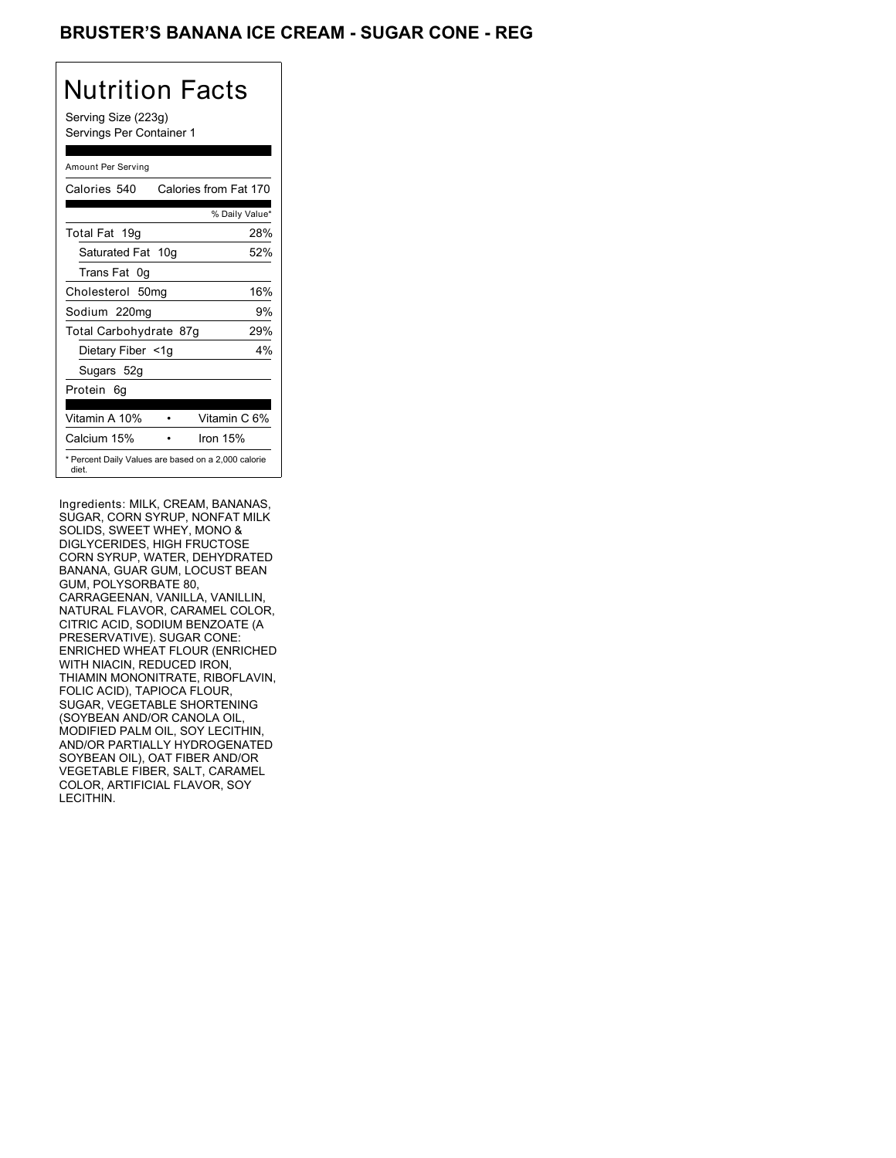### BRUSTER'S BANANA ICE CREAM - SUGAR CONE - REG

# Nutrition Facts

Serving Size (223g) Servings Per Container 1

#### Amount Per Serving

| Calories 540           | Calories from Fat 170                               |
|------------------------|-----------------------------------------------------|
|                        | % Daily Value*                                      |
| Total Fat 19g          | 28%                                                 |
| Saturated Fat 10g      | 52%                                                 |
| Trans Fat 0q           |                                                     |
| Cholesterol 50mg       | 16%                                                 |
| Sodium 220mg           | 9%                                                  |
| Total Carbohydrate 87g | 29%                                                 |
| Dietary Fiber <1g      | 4%                                                  |
| Sugars 52g             |                                                     |
| Protein 6q             |                                                     |
| Vitamin A 10%          | Vitamin C 6%                                        |
| Calcium 15%            | Iron 15%                                            |
| diet.                  | * Percent Daily Values are based on a 2,000 calorie |

Ingredients: MILK, CREAM, BANANAS, SUGAR, CORN SYRUP, NONFAT MILK SOLIDS, SWEET WHEY, MONO & DIGLYCERIDES, HIGH FRUCTOSE CORN SYRUP, WATER, DEHYDRATED BANANA, GUAR GUM, LOCUST BEAN GUM, POLYSORBATE 80, CARRAGEENAN, VANILLA, VANILLIN, NATURAL FLAVOR, CARAMEL COLOR, CITRIC ACID, SODIUM BENZOATE (A PRESERVATIVE). SUGAR CONE: ENRICHED WHEAT FLOUR (ENRICHED WITH NIACIN, REDUCED IRON, THIAMIN MONONITRATE, RIBOFLAVIN, FOLIC ACID), TAPIOCA FLOUR, SUGAR, VEGETABLE SHORTENING (SOYBEAN AND/OR CANOLA OIL, MODIFIED PALM OIL, SOY LECITHIN, AND/OR PARTIALLY HYDROGENATED SOYBEAN OIL), OAT FIBER AND/OR VEGETABLE FIBER, SALT, CARAMEL COLOR, ARTIFICIAL FLAVOR, SOY LECITHIN.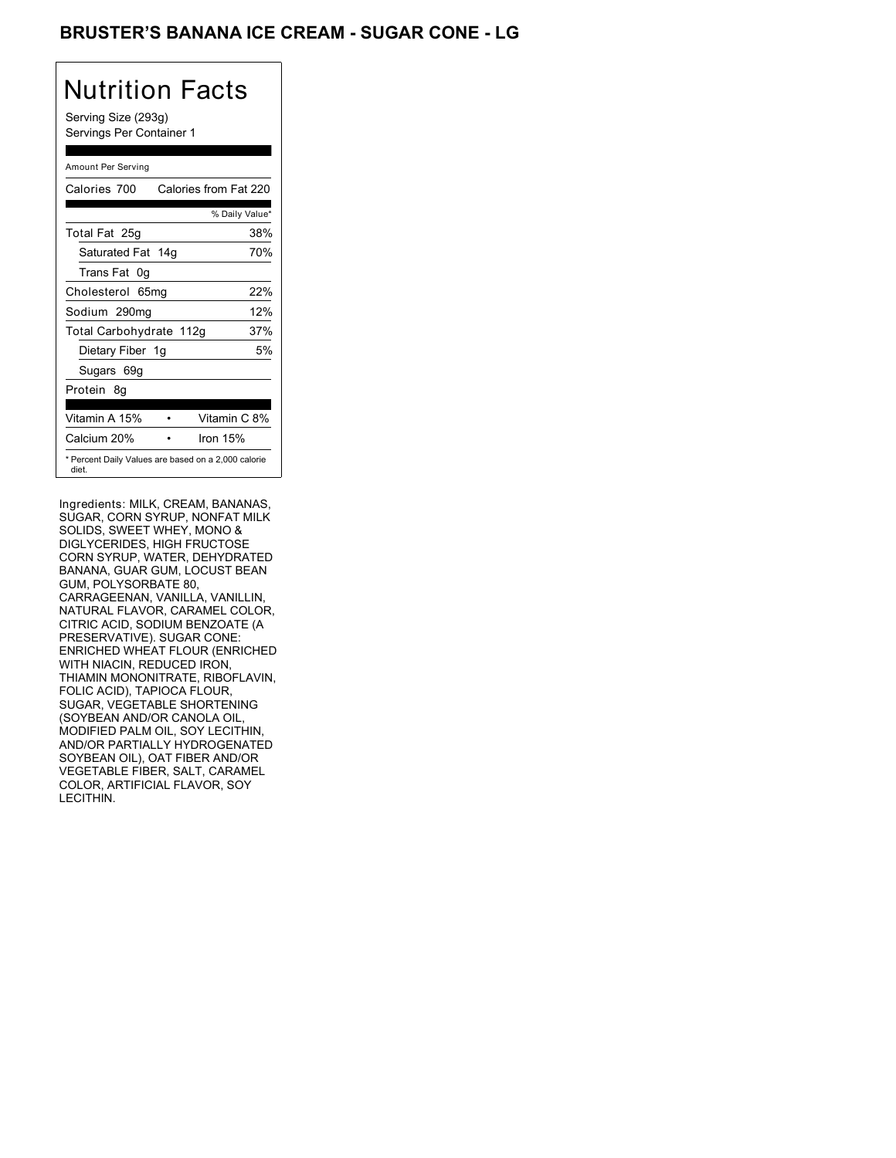### BRUSTER'S BANANA ICE CREAM - SUGAR CONE - LG

# Nutrition Facts

Serving Size (293g) Servings Per Container 1

#### Amount Per Serving

| Calories 700            | Calories from Fat 220                               |
|-------------------------|-----------------------------------------------------|
|                         | % Daily Value*                                      |
| Total Fat 25g           | 38%                                                 |
| Saturated Fat 14g       | 70%                                                 |
| Trans Fat 0q            |                                                     |
| Cholesterol 65mg        | 22%                                                 |
| Sodium 290mg            | 12%                                                 |
| Total Carbohydrate 112g | 37%                                                 |
| Dietary Fiber 1g        | 5%                                                  |
| Sugars 69g              |                                                     |
| Protein 8q              |                                                     |
|                         |                                                     |
| Vitamin A 15%           | Vitamin C 8%                                        |
| Calcium 20%             | Iron 15%                                            |
| diet.                   | * Percent Daily Values are based on a 2,000 calorie |

Ingredients: MILK, CREAM, BANANAS, SUGAR, CORN SYRUP, NONFAT MILK SOLIDS, SWEET WHEY, MONO & DIGLYCERIDES, HIGH FRUCTOSE CORN SYRUP, WATER, DEHYDRATED BANANA, GUAR GUM, LOCUST BEAN GUM, POLYSORBATE 80, CARRAGEENAN, VANILLA, VANILLIN, NATURAL FLAVOR, CARAMEL COLOR, CITRIC ACID, SODIUM BENZOATE (A PRESERVATIVE). SUGAR CONE: ENRICHED WHEAT FLOUR (ENRICHED WITH NIACIN, REDUCED IRON, THIAMIN MONONITRATE, RIBOFLAVIN, FOLIC ACID), TAPIOCA FLOUR, SUGAR, VEGETABLE SHORTENING (SOYBEAN AND/OR CANOLA OIL, MODIFIED PALM OIL, SOY LECITHIN, AND/OR PARTIALLY HYDROGENATED SOYBEAN OIL), OAT FIBER AND/OR VEGETABLE FIBER, SALT, CARAMEL COLOR, ARTIFICIAL FLAVOR, SOY LECITHIN.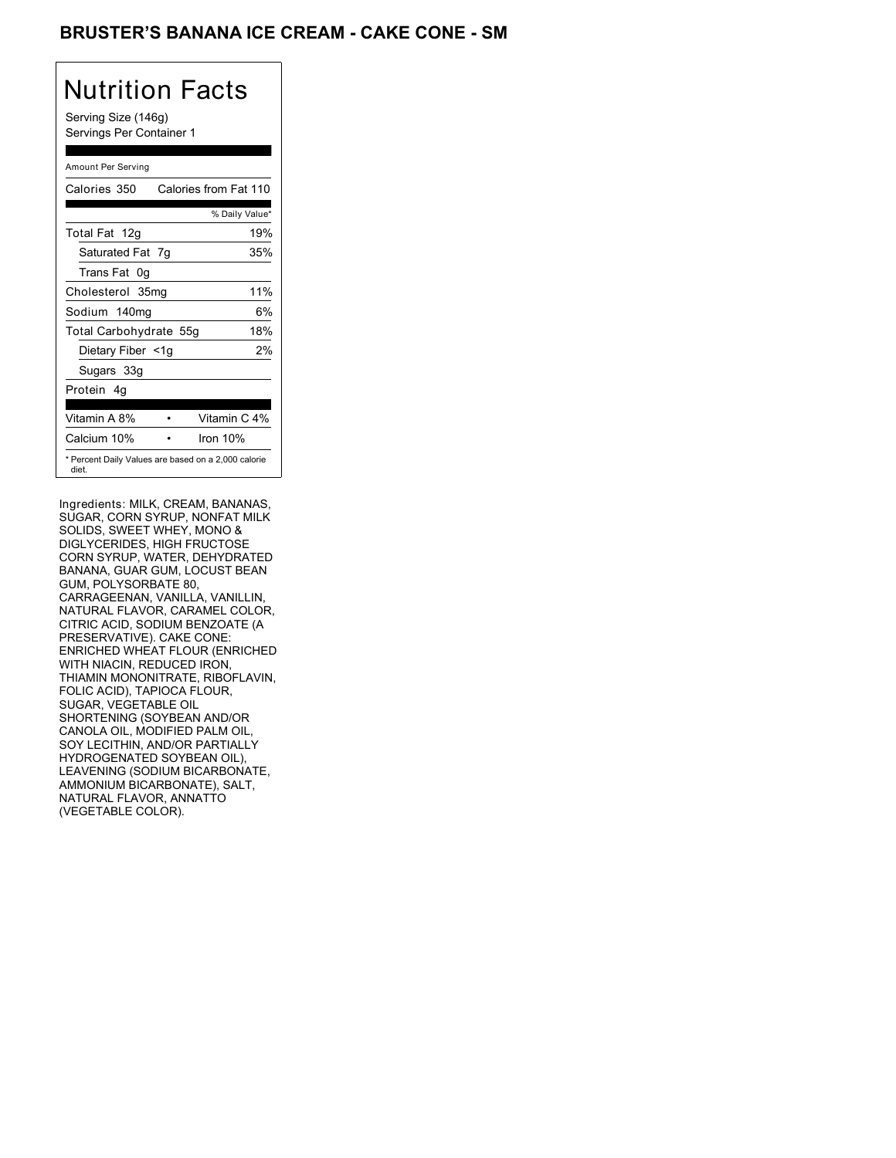### BRUSTER'S BANANA ICE CREAM - CAKE CONE - SM

# Nutrition Facts

Serving Size (146g) Servings Per Container 1

#### Amount Per Serving

| Calories 350           | Calories from Fat 110                               |
|------------------------|-----------------------------------------------------|
|                        | % Daily Value*                                      |
| Total Fat 12g          | 19%                                                 |
| Saturated Fat 7g       | 35%                                                 |
| Trans Fat 0q           |                                                     |
| Cholesterol 35mg       | 11%                                                 |
| Sodium 140mg           | 6%                                                  |
| Total Carbohydrate 55g | 18%                                                 |
| Dietary Fiber <1g      | 2%                                                  |
| Sugars 33g             |                                                     |
| Protein 4q             |                                                     |
| Vitamin A 8%           | Vitamin C 4%                                        |
| Calcium 10%            | Iron 10%                                            |
| diet.                  | * Percent Daily Values are based on a 2,000 calorie |

Ingredients: MILK, CREAM, BANANAS, SUGAR, CORN SYRUP, NONFAT MILK SOLIDS, SWEET WHEY, MONO & DIGLYCERIDES, HIGH FRUCTOSE CORN SYRUP, WATER, DEHYDRATED BANANA, GUAR GUM, LOCUST BEAN GUM, POLYSORBATE 80, CARRAGEENAN, VANILLA, VANILLIN, NATURAL FLAVOR, CARAMEL COLOR, CITRIC ACID, SODIUM BENZOATE (A PRESERVATIVE). CAKE CONE: ENRICHED WHEAT FLOUR (ENRICHED WITH NIACIN, REDUCED IRON, THIAMIN MONONITRATE, RIBOFLAVIN, FOLIC ACID), TAPIOCA FLOUR, SUGAR, VEGETABLE OIL SHORTENING (SOYBEAN AND/OR CANOLA OIL, MODIFIED PALM OIL, SOY LECITHIN, AND/OR PARTIALLY HYDROGENATED SOYBEAN OIL), LEAVENING (SODIUM BICARBONATE, AMMONIUM BICARBONATE), SALT, NATURAL FLAVOR, ANNATTO (VEGETABLE COLOR).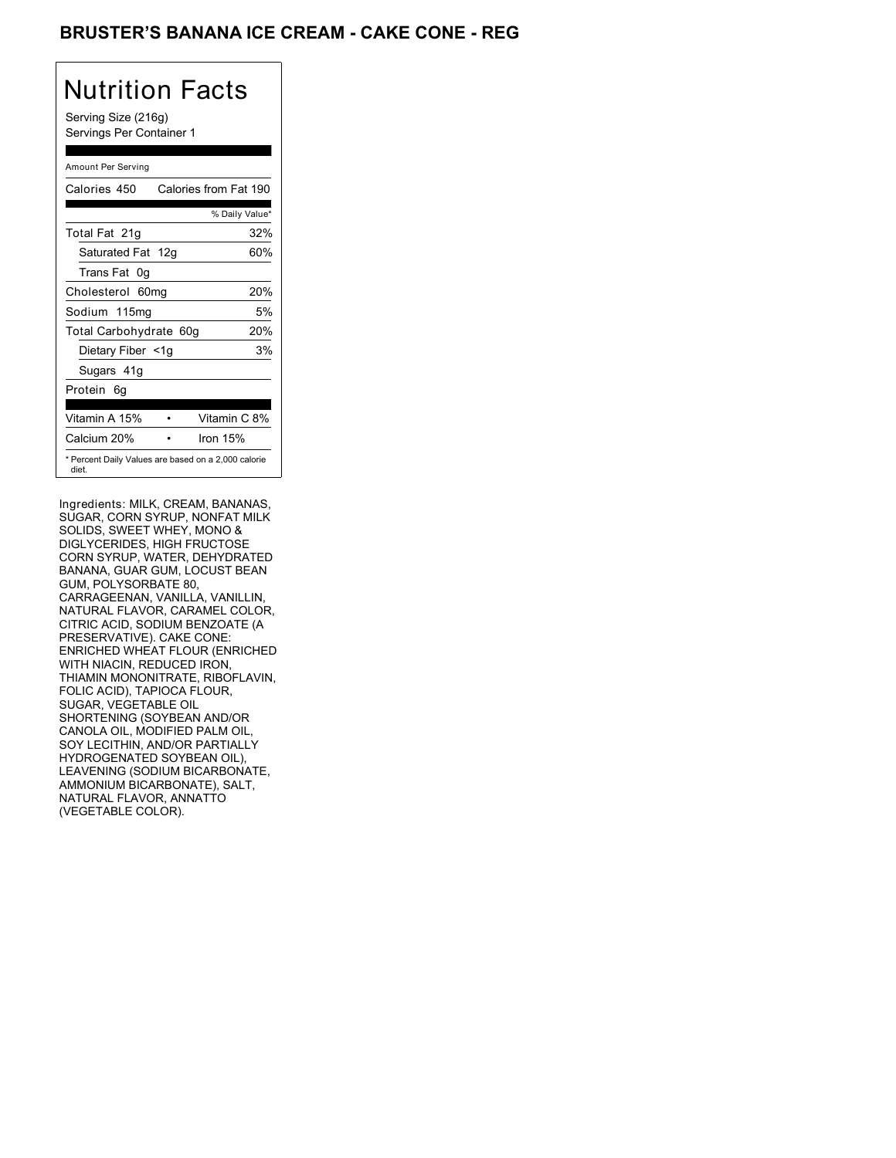### BRUSTER'S BANANA ICE CREAM - CAKE CONE - REG

# Nutrition Facts

Serving Size (216g) Servings Per Container 1

#### Amount Per Serving

| Calories 450           | Calories from Fat 190                               |
|------------------------|-----------------------------------------------------|
|                        | % Daily Value*                                      |
| Total Fat 21g          | 32%                                                 |
| Saturated Fat 12g      | 60%                                                 |
| Trans Fat 0q           |                                                     |
| Cholesterol 60mg       | 20%                                                 |
| Sodium 115mg           | 5%                                                  |
| Total Carbohydrate 60g | 20%                                                 |
| Dietary Fiber <1g      | 3%                                                  |
| Sugars 41g             |                                                     |
| Protein 6q             |                                                     |
| Vitamin A 15%          | Vitamin C 8%                                        |
| Calcium 20%            | Iron 15%                                            |
| diet.                  | * Percent Daily Values are based on a 2,000 calorie |

Ingredients: MILK, CREAM, BANANAS, SUGAR, CORN SYRUP, NONFAT MILK SOLIDS, SWEET WHEY, MONO & DIGLYCERIDES, HIGH FRUCTOSE CORN SYRUP, WATER, DEHYDRATED BANANA, GUAR GUM, LOCUST BEAN GUM, POLYSORBATE 80, CARRAGEENAN, VANILLA, VANILLIN, NATURAL FLAVOR, CARAMEL COLOR, CITRIC ACID, SODIUM BENZOATE (A PRESERVATIVE). CAKE CONE: ENRICHED WHEAT FLOUR (ENRICHED WITH NIACIN, REDUCED IRON, THIAMIN MONONITRATE, RIBOFLAVIN, FOLIC ACID), TAPIOCA FLOUR, SUGAR, VEGETABLE OIL SHORTENING (SOYBEAN AND/OR CANOLA OIL, MODIFIED PALM OIL, SOY LECITHIN, AND/OR PARTIALLY HYDROGENATED SOYBEAN OIL), LEAVENING (SODIUM BICARBONATE, AMMONIUM BICARBONATE), SALT, NATURAL FLAVOR, ANNATTO (VEGETABLE COLOR).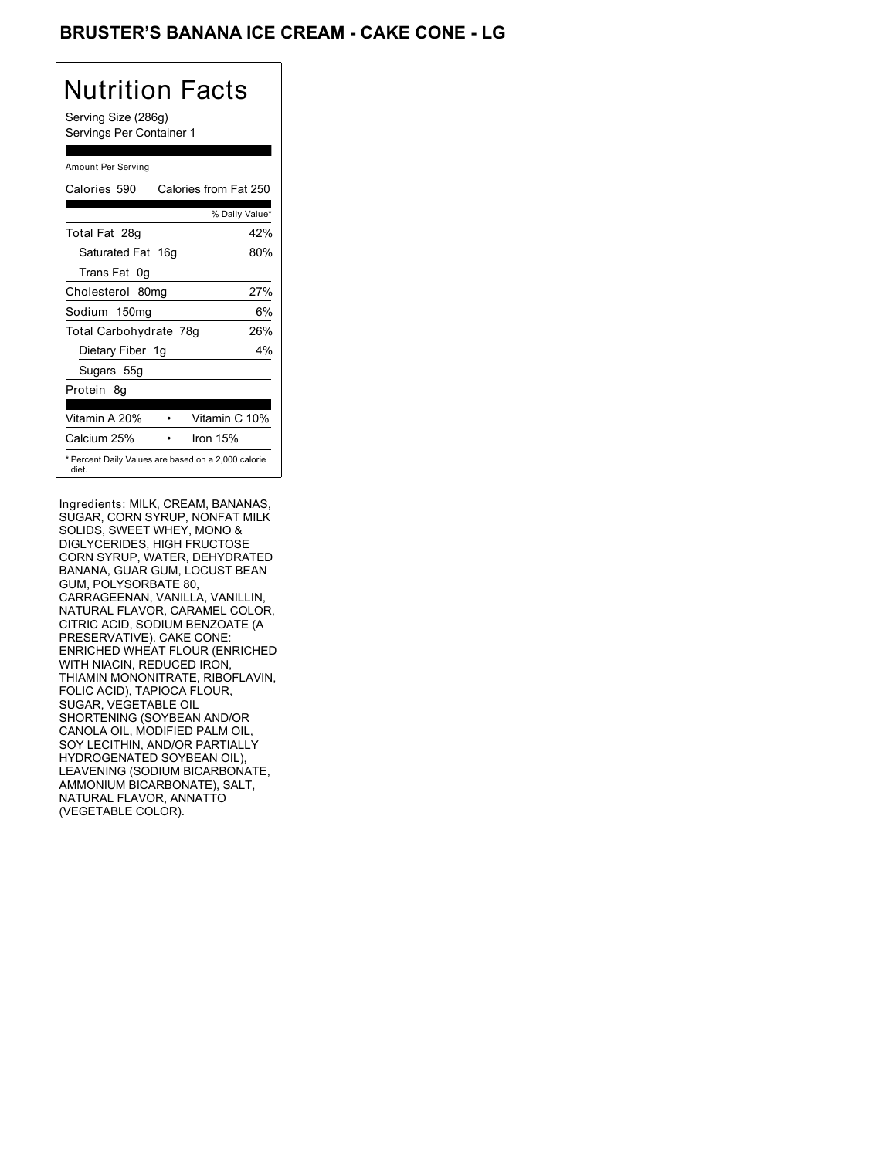### BRUSTER'S BANANA ICE CREAM - CAKE CONE - LG

# Nutrition Facts

Serving Size (286g) Servings Per Container 1

#### Amount Per Serving

| Calories 590                                                 | Calories from Fat 250 |     |
|--------------------------------------------------------------|-----------------------|-----|
|                                                              | % Daily Value*        |     |
| Total Fat 28g                                                |                       | 42% |
| Saturated Fat 16g                                            |                       | 80% |
| Trans Fat 0q                                                 |                       |     |
| Cholesterol 80mg                                             |                       | 27% |
| Sodium 150mg                                                 |                       | 6%  |
| Total Carbohydrate 78g                                       |                       | 26% |
| Dietary Fiber 1g                                             |                       | 4%  |
| Sugars 55g                                                   |                       |     |
| Protein 8q                                                   |                       |     |
| Vitamin A 20%                                                | Vitamin C 10%         |     |
| Calcium 25%                                                  | Iron 15%              |     |
| * Percent Daily Values are based on a 2,000 calorie<br>diet. |                       |     |

Ingredients: MILK, CREAM, BANANAS, SUGAR, CORN SYRUP, NONFAT MILK SOLIDS, SWEET WHEY, MONO & DIGLYCERIDES, HIGH FRUCTOSE CORN SYRUP, WATER, DEHYDRATED BANANA, GUAR GUM, LOCUST BEAN GUM, POLYSORBATE 80, CARRAGEENAN, VANILLA, VANILLIN, NATURAL FLAVOR, CARAMEL COLOR, CITRIC ACID, SODIUM BENZOATE (A PRESERVATIVE). CAKE CONE: ENRICHED WHEAT FLOUR (ENRICHED WITH NIACIN, REDUCED IRON, THIAMIN MONONITRATE, RIBOFLAVIN, FOLIC ACID), TAPIOCA FLOUR, SUGAR, VEGETABLE OIL SHORTENING (SOYBEAN AND/OR CANOLA OIL, MODIFIED PALM OIL, SOY LECITHIN, AND/OR PARTIALLY HYDROGENATED SOYBEAN OIL), LEAVENING (SODIUM BICARBONATE, AMMONIUM BICARBONATE), SALT, NATURAL FLAVOR, ANNATTO (VEGETABLE COLOR).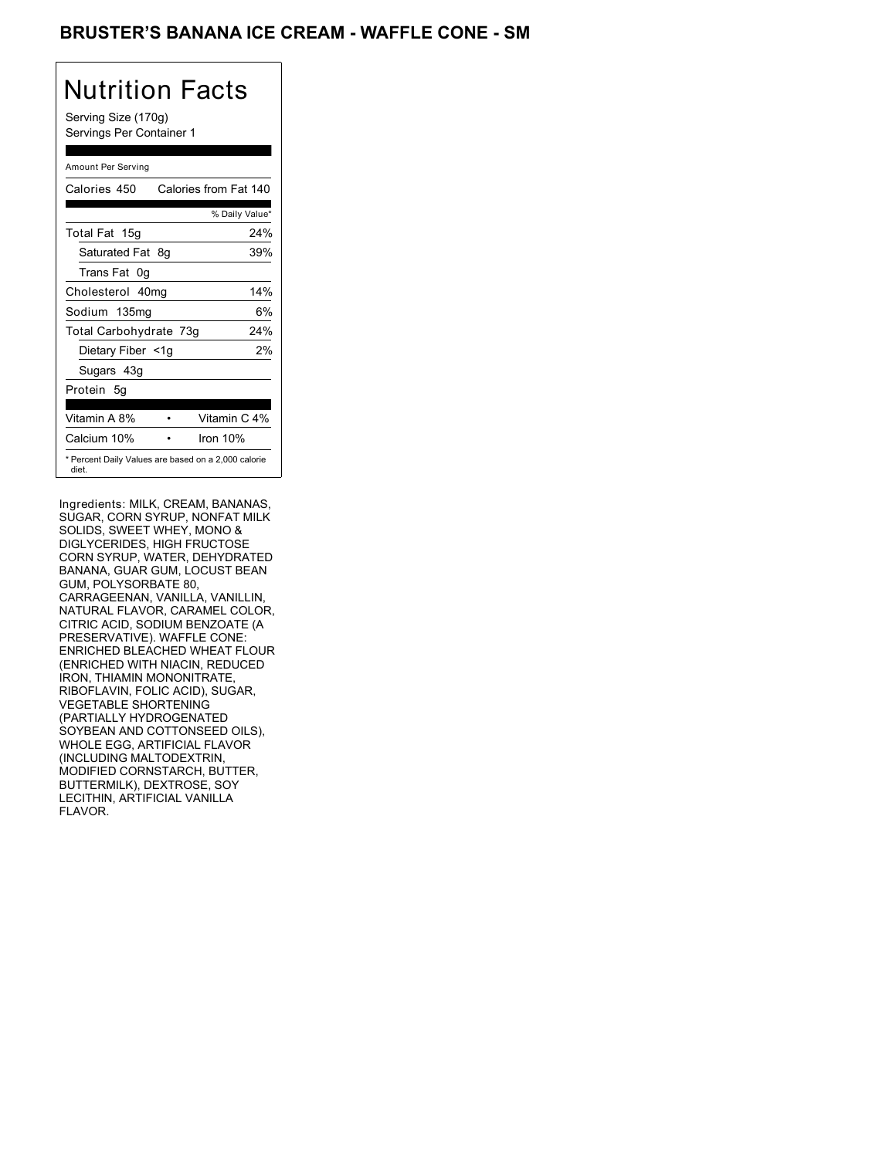### BRUSTER'S BANANA ICE CREAM - WAFFLE CONE - SM

## Nutrition Facts

Serving Size (170g) Servings Per Container 1

#### Amount Per Serving

| Calories 450                                                 | Calories from Fat 140 |                |
|--------------------------------------------------------------|-----------------------|----------------|
|                                                              |                       | % Daily Value* |
| Total Fat 15g                                                |                       | 24%            |
| Saturated Fat 8g                                             |                       | 39%            |
| Trans Fat 0q                                                 |                       |                |
| Cholesterol 40mg                                             |                       | 14%            |
| Sodium 135mg                                                 |                       | 6%             |
| Total Carbohydrate 73g                                       |                       | 24%            |
| Dietary Fiber <1g                                            |                       | 2%             |
| Sugars 43g                                                   |                       |                |
| Protein 5q                                                   |                       |                |
| Vitamin A 8%                                                 |                       | Vitamin C 4%   |
| Calcium 10%                                                  | Iron $10%$            |                |
| * Percent Daily Values are based on a 2,000 calorie<br>diet. |                       |                |

Ingredients: MILK, CREAM, BANANAS, SUGAR, CORN SYRUP, NONFAT MILK SOLIDS, SWEET WHEY, MONO & DIGLYCERIDES, HIGH FRUCTOSE CORN SYRUP, WATER, DEHYDRATED BANANA, GUAR GUM, LOCUST BEAN GUM, POLYSORBATE 80, CARRAGEENAN, VANILLA, VANILLIN, NATURAL FLAVOR, CARAMEL COLOR, CITRIC ACID, SODIUM BENZOATE (A PRESERVATIVE). WAFFLE CONE: ENRICHED BLEACHED WHEAT FLOUR (ENRICHED WITH NIACIN, REDUCED IRON, THIAMIN MONONITRATE, RIBOFLAVIN, FOLIC ACID), SUGAR, VEGETABLE SHORTENING (PARTIALLY HYDROGENATED SOYBEAN AND COTTONSEED OILS), WHOLE EGG, ARTIFICIAL FLAVOR (INCLUDING MALTODEXTRIN, MODIFIED CORNSTARCH, BUTTER, BUTTERMILK), DEXTROSE, SOY LECITHIN, ARTIFICIAL VANILLA FLAVOR.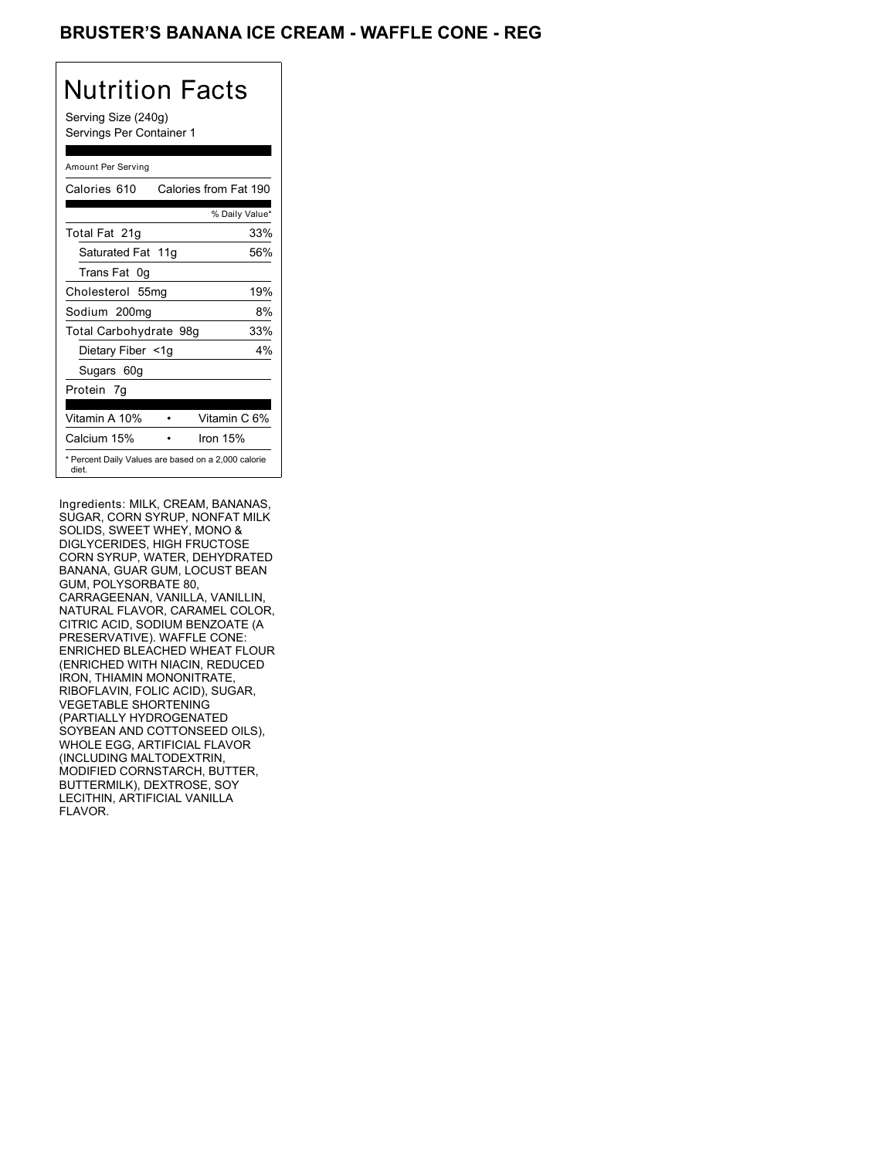### BRUSTER'S BANANA ICE CREAM - WAFFLE CONE - REG

## Nutrition Facts

Serving Size (240g) Servings Per Container 1

#### Amount Per Serving

| Calories 610           | Calories from Fat 190                               |
|------------------------|-----------------------------------------------------|
|                        | % Daily Value*                                      |
| Total Fat 21g          | 33%                                                 |
| Saturated Fat 11g      | 56%                                                 |
| Trans Fat 0q           |                                                     |
| Cholesterol 55mg       | 19%                                                 |
| Sodium 200mg           | 8%                                                  |
| Total Carbohydrate 98g | 33%                                                 |
| Dietary Fiber <1g      | 4%                                                  |
| Sugars 60g             |                                                     |
| Protein 7q             |                                                     |
| Vitamin A 10%          | Vitamin C 6%                                        |
| Calcium 15%            | Iron 15%                                            |
| diet.                  | * Percent Daily Values are based on a 2,000 calorie |

Ingredients: MILK, CREAM, BANANAS, SUGAR, CORN SYRUP, NONFAT MILK SOLIDS, SWEET WHEY, MONO & DIGLYCERIDES, HIGH FRUCTOSE CORN SYRUP, WATER, DEHYDRATED BANANA, GUAR GUM, LOCUST BEAN GUM, POLYSORBATE 80, CARRAGEENAN, VANILLA, VANILLIN, NATURAL FLAVOR, CARAMEL COLOR, CITRIC ACID, SODIUM BENZOATE (A PRESERVATIVE). WAFFLE CONE: ENRICHED BLEACHED WHEAT FLOUR (ENRICHED WITH NIACIN, REDUCED IRON, THIAMIN MONONITRATE, RIBOFLAVIN, FOLIC ACID), SUGAR, VEGETABLE SHORTENING (PARTIALLY HYDROGENATED SOYBEAN AND COTTONSEED OILS), WHOLE EGG, ARTIFICIAL FLAVOR (INCLUDING MALTODEXTRIN, MODIFIED CORNSTARCH, BUTTER, BUTTERMILK), DEXTROSE, SOY LECITHIN, ARTIFICIAL VANILLA FLAVOR.